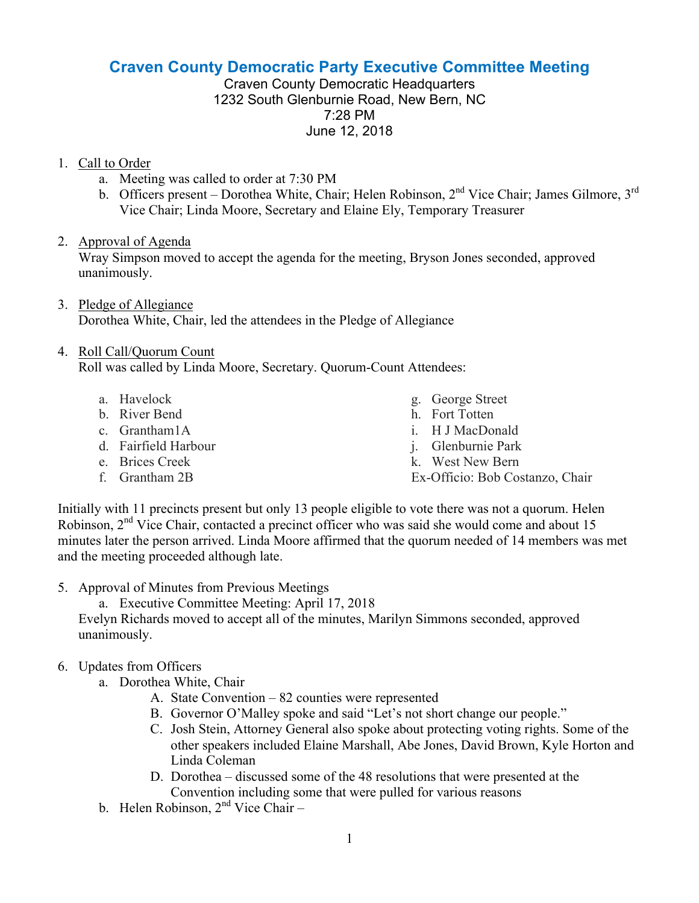# **Craven County Democratic Party Executive Committee Meeting**

Craven County Democratic Headquarters 1232 South Glenburnie Road, New Bern, NC 7:28 PM June 12, 2018

#### 1. Call to Order

- a. Meeting was called to order at 7:30 PM
- b. Officers present Dorothea White, Chair; Helen Robinson, 2<sup>nd</sup> Vice Chair; James Gilmore, 3<sup>rd</sup> Vice Chair; Linda Moore, Secretary and Elaine Ely, Temporary Treasurer

## 2. Approval of Agenda

Wray Simpson moved to accept the agenda for the meeting, Bryson Jones seconded, approved unanimously.

3. Pledge of Allegiance Dorothea White, Chair, led the attendees in the Pledge of Allegiance

## 4. Roll Call/Quorum Count

Roll was called by Linda Moore, Secretary. Quorum-Count Attendees:

- a. Havelock
- b. River Bend
- c. Grantham1A
- d. Fairfield Harbour
- e. Brices Creek
- f. Grantham 2B
- g. George Street
- h. Fort Totten
- i. H J MacDonald
- j. Glenburnie Park
- k. West New Bern
- Ex-Officio: Bob Costanzo, Chair

Initially with 11 precincts present but only 13 people eligible to vote there was not a quorum. Helen Robinson,  $2<sup>nd</sup>$  Vice Chair, contacted a precinct officer who was said she would come and about 15 minutes later the person arrived. Linda Moore affirmed that the quorum needed of 14 members was met and the meeting proceeded although late.

- 5. Approval of Minutes from Previous Meetings
	- a. Executive Committee Meeting: April 17, 2018

Evelyn Richards moved to accept all of the minutes, Marilyn Simmons seconded, approved unanimously.

# 6. Updates from Officers

- a. Dorothea White, Chair
	- A. State Convention 82 counties were represented
	- B. Governor O'Malley spoke and said "Let's not short change our people."
	- C. Josh Stein, Attorney General also spoke about protecting voting rights. Some of the other speakers included Elaine Marshall, Abe Jones, David Brown, Kyle Horton and Linda Coleman
	- D. Dorothea discussed some of the 48 resolutions that were presented at the Convention including some that were pulled for various reasons
- b. Helen Robinson,  $2<sup>nd</sup>$  Vice Chair –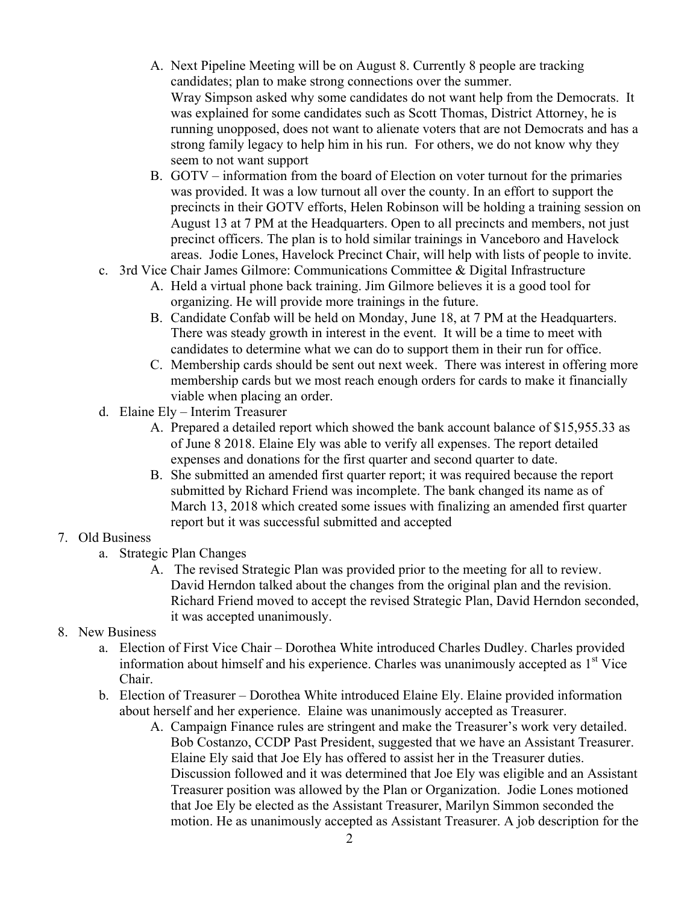- A. Next Pipeline Meeting will be on August 8. Currently 8 people are tracking candidates; plan to make strong connections over the summer. Wray Simpson asked why some candidates do not want help from the Democrats. It was explained for some candidates such as Scott Thomas, District Attorney, he is running unopposed, does not want to alienate voters that are not Democrats and has a strong family legacy to help him in his run. For others, we do not know why they seem to not want support
- B. GOTV information from the board of Election on voter turnout for the primaries was provided. It was a low turnout all over the county. In an effort to support the precincts in their GOTV efforts, Helen Robinson will be holding a training session on August 13 at 7 PM at the Headquarters. Open to all precincts and members, not just precinct officers. The plan is to hold similar trainings in Vanceboro and Havelock areas. Jodie Lones, Havelock Precinct Chair, will help with lists of people to invite.
- c. 3rd Vice Chair James Gilmore: Communications Committee & Digital Infrastructure
	- A. Held a virtual phone back training. Jim Gilmore believes it is a good tool for organizing. He will provide more trainings in the future.
	- B. Candidate Confab will be held on Monday, June 18, at 7 PM at the Headquarters. There was steady growth in interest in the event. It will be a time to meet with candidates to determine what we can do to support them in their run for office.
	- C. Membership cards should be sent out next week. There was interest in offering more membership cards but we most reach enough orders for cards to make it financially viable when placing an order.
- d. Elaine Ely Interim Treasurer
	- A. Prepared a detailed report which showed the bank account balance of \$15,955.33 as of June 8 2018. Elaine Ely was able to verify all expenses. The report detailed expenses and donations for the first quarter and second quarter to date.
	- B. She submitted an amended first quarter report; it was required because the report submitted by Richard Friend was incomplete. The bank changed its name as of March 13, 2018 which created some issues with finalizing an amended first quarter report but it was successful submitted and accepted

#### 7. Old Business

- a. Strategic Plan Changes
	- A. The revised Strategic Plan was provided prior to the meeting for all to review. David Herndon talked about the changes from the original plan and the revision. Richard Friend moved to accept the revised Strategic Plan, David Herndon seconded, it was accepted unanimously.
- 8. New Business
	- a. Election of First Vice Chair Dorothea White introduced Charles Dudley. Charles provided information about himself and his experience. Charles was unanimously accepted as  $1<sup>st</sup>$  Vice Chair.
	- b. Election of Treasurer Dorothea White introduced Elaine Ely. Elaine provided information about herself and her experience. Elaine was unanimously accepted as Treasurer.
		- A. Campaign Finance rules are stringent and make the Treasurer's work very detailed. Bob Costanzo, CCDP Past President, suggested that we have an Assistant Treasurer. Elaine Ely said that Joe Ely has offered to assist her in the Treasurer duties. Discussion followed and it was determined that Joe Ely was eligible and an Assistant Treasurer position was allowed by the Plan or Organization. Jodie Lones motioned that Joe Ely be elected as the Assistant Treasurer, Marilyn Simmon seconded the motion. He as unanimously accepted as Assistant Treasurer. A job description for the